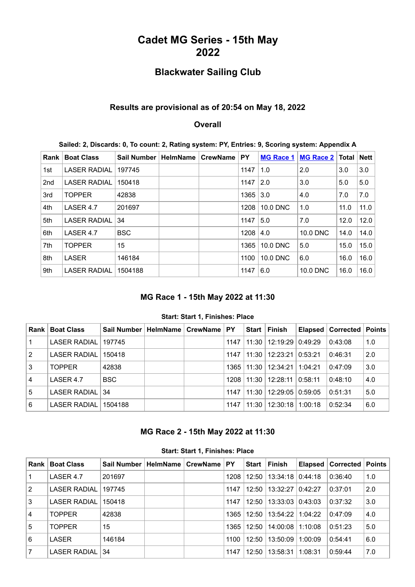# **Cadet MG Series - 15th May 2022**

# **Blackwater Sailing Club**

### **Results are provisional as of 20:54 on May 18, 2022**

#### **Overall**

|  |  | Sailed: 2, Discards: 0, To count: 2, Rating system: PY, Entries: 9, Scoring system: Appendix A |  |
|--|--|------------------------------------------------------------------------------------------------|--|
|  |  |                                                                                                |  |

| Rank            | <b>Boat Class</b>   | <b>Sail Number</b> | <b>HelmName</b> | <b>CrewName</b> | PY   | <b>MG Race 1</b> | <b>MG Race 2</b> | <b>Total</b> | <b>Nett</b> |
|-----------------|---------------------|--------------------|-----------------|-----------------|------|------------------|------------------|--------------|-------------|
| 1st             | <b>LASER RADIAL</b> | 197745             |                 |                 | 1147 | 1.0              | 2.0              | 3.0          | 3.0         |
| 2 <sub>nd</sub> | <b>LASER RADIAL</b> | 150418             |                 |                 | 1147 | 2.0              | 3.0              | 5.0          | 5.0         |
| 3rd             | <b>TOPPER</b>       | 42838              |                 |                 | 1365 | 3.0              | 4.0              | 7.0          | 7.0         |
| 4th             | LASER 4.7           | 201697             |                 |                 | 1208 | 10.0 DNC         | 1.0              | 11.0         | 11.0        |
| 5th             | <b>LASER RADIAL</b> | 34                 |                 |                 | 1147 | 5.0              | 7.0              | 12.0         | 12.0        |
| 6th             | LASER 4.7           | <b>BSC</b>         |                 |                 | 1208 | 4.0              | 10.0 DNC         | 14.0         | 14.0        |
| 7th             | <b>TOPPER</b>       | 15                 |                 |                 | 1365 | 10.0 DNC         | 5.0              | 15.0         | 15.0        |
| 8th             | <b>LASER</b>        | 146184             |                 |                 | 1100 | 10.0 DNC         | 6.0              | 16.0         | 16.0        |
| 9th             | <b>LASER RADIAL</b> | 1504188            |                 |                 | 1147 | 6.0              | 10.0 DNC         | 16.0         | 16.0        |

# **MG Race 1 - 15th May 2022 at 11:30**

#### **Start: Start 1, Finishes: Place**

<span id="page-0-0"></span>

| <b>Rank</b>    | <b>Boat Class</b>   | Sail Number | HelmName   CrewName   PY |      | Start I | Finish                  |         | Elapsed   Corrected   Points |     |
|----------------|---------------------|-------------|--------------------------|------|---------|-------------------------|---------|------------------------------|-----|
| $\vert$ 1      | <b>LASER RADIAL</b> | 197745      |                          | 1147 | $11:30$ | 12:19:29 0:49:29        |         | 0:43:08                      | 1.0 |
| $ 2\rangle$    | <b>LASER RADIAL</b> | 150418      |                          | 1147 |         | 11:30   12:23:21        | 0:53:21 | 0:46:31                      | 2.0 |
| 3              | <b>TOPPER</b>       | 42838       |                          |      |         | 1365   11:30   12:34:21 | 1:04:21 | 0:47:09                      | 3.0 |
| <sup>1</sup> 4 | LASER 4.7           | <b>BSC</b>  |                          | 1208 | 11:30   | 12:28:11 0:58:11        |         | 0:48:10                      | 4.0 |
| l 5            | LASER RADIAL 34     |             |                          | 1147 | 11:30   | 12:29:05 0:59:05        |         | 0:51:31                      | 5.0 |
| l 6            | <b>LASER RADIAL</b> | 1504188     |                          | 1147 | 11:30   | 12:30:18   1:00:18      |         | 0:52:34                      | 6.0 |

## **MG Race 2 - 15th May 2022 at 11:30**

<span id="page-0-1"></span>

| <b>Rank</b> | <b>Boat Class</b>   | Sail Number | <b>HelmName</b> | <b>CrewName</b> | <b>PY</b> | <b>Start</b> | <b>Finish</b> |          | Elapsed   Corrected | ∣ Points |
|-------------|---------------------|-------------|-----------------|-----------------|-----------|--------------|---------------|----------|---------------------|----------|
|             | LASER 4.7           | 201697      |                 |                 | 1208      | 12:50        | 13:34:18      | 0.44:18  | 0:36:40             | 1.0      |
| 2           | <b>LASER RADIAL</b> | 197745      |                 |                 | 1147      | 12:50        | 13:32:27      | 0.42.27  | 0:37:01             | 2.0      |
| 3           | <b>LASER RADIAL</b> | 150418      |                 |                 | 1147      | 12:50        | 13:33:03      | 0.43:03  | 0:37:32             | 3.0      |
| 4           | <b>TOPPER</b>       | 42838       |                 |                 | 1365      | 12:50        | 13:54:22      | 11:04:22 | 0:47:09             | 4.0      |
| 5           | <b>TOPPER</b>       | 15          |                 |                 | 1365      | 12:50        | 14:00:08      | 1:10:08  | 0:51:23             | 5.0      |
| 6           | LASER               | 146184      |                 |                 | 1100      | 12:50        | 13:50:09      | 1:00:09  | 0:54:41             | 6.0      |
|             | <b>LASER RADIAL</b> | 34          |                 |                 | 1147      | 12:50        | 13:58:31      | 1:08:31  | 0:59:44             | 7.0      |

**Start: Start 1, Finishes: Place**